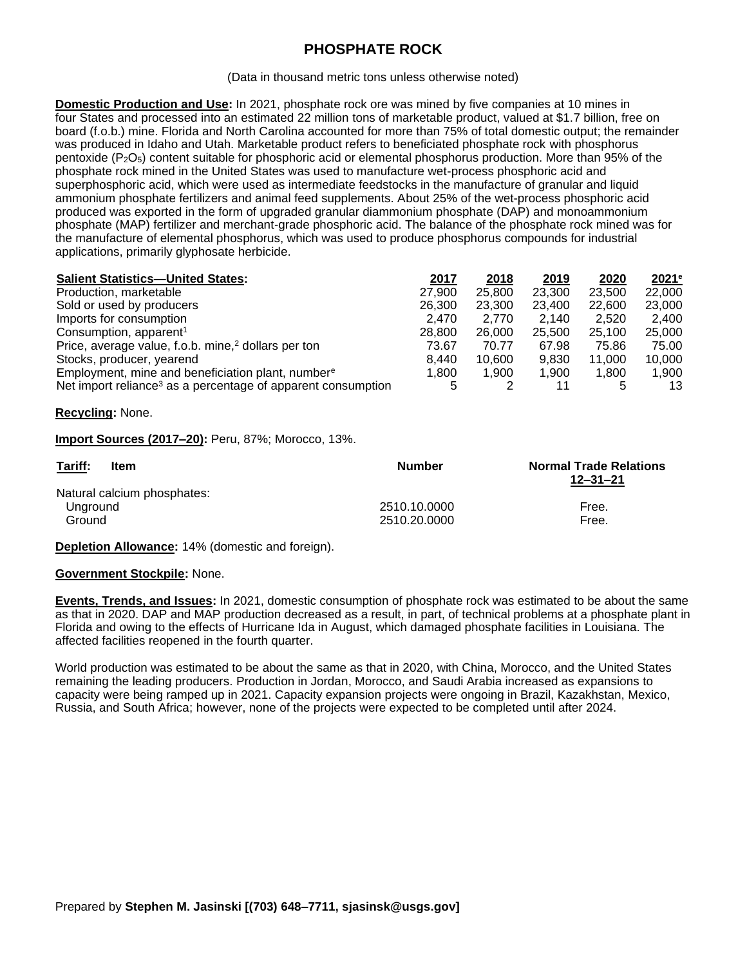## **PHOSPHATE ROCK**

(Data in thousand metric tons unless otherwise noted)

**Domestic Production and Use:** In 2021, phosphate rock ore was mined by five companies at 10 mines in four States and processed into an estimated 22 million tons of marketable product, valued at \$1.7 billion, free on board (f.o.b.) mine. Florida and North Carolina accounted for more than 75% of total domestic output; the remainder was produced in Idaho and Utah. Marketable product refers to beneficiated phosphate rock with phosphorus pentoxide (P2O5) content suitable for phosphoric acid or elemental phosphorus production. More than 95% of the phosphate rock mined in the United States was used to manufacture wet-process phosphoric acid and superphosphoric acid, which were used as intermediate feedstocks in the manufacture of granular and liquid ammonium phosphate fertilizers and animal feed supplements. About 25% of the wet-process phosphoric acid produced was exported in the form of upgraded granular diammonium phosphate (DAP) and monoammonium phosphate (MAP) fertilizer and merchant-grade phosphoric acid. The balance of the phosphate rock mined was for the manufacture of elemental phosphorus, which was used to produce phosphorus compounds for industrial applications, primarily glyphosate herbicide.

| <b>Salient Statistics-United States:</b>                                 | 2017   | 2018   | 2019   | 2020   | $2021$ <sup>e</sup> |
|--------------------------------------------------------------------------|--------|--------|--------|--------|---------------------|
| Production, marketable                                                   | 27,900 | 25.800 | 23,300 | 23,500 | 22,000              |
| Sold or used by producers                                                | 26,300 | 23.300 | 23,400 | 22,600 | 23,000              |
| Imports for consumption                                                  | 2.470  | 2.770  | 2.140  | 2.520  | 2.400               |
| Consumption, apparent <sup>1</sup>                                       | 28,800 | 26,000 | 25,500 | 25.100 | 25,000              |
| Price, average value, f.o.b. mine, <sup>2</sup> dollars per ton          | 73.67  | 70.77  | 67.98  | 75.86  | 75.00               |
| Stocks, producer, yearend                                                | 8.440  | 10.600 | 9,830  | 11.000 | 10,000              |
| Employment, mine and beneficiation plant, numbere                        | 1.800  | 1.900  | 1.900  | 1.800  | 1.900               |
| Net import reliance <sup>3</sup> as a percentage of apparent consumption |        |        | 11     |        | 13                  |

## **Recycling:** None.

**Import Sources (2017–20):** Peru, 87%; Morocco, 13%.

| Tariff:<br><b>Item</b>      | <b>Number</b> | <b>Normal Trade Relations</b><br>$12 - 31 - 21$ |
|-----------------------------|---------------|-------------------------------------------------|
| Natural calcium phosphates: |               |                                                 |
| Unground                    | 2510.10.0000  | Free.                                           |
| Ground                      | 2510.20.0000  | Free.                                           |

**Depletion Allowance:** 14% (domestic and foreign).

## **Government Stockpile:** None.

**Events, Trends, and Issues:** In 2021, domestic consumption of phosphate rock was estimated to be about the same as that in 2020. DAP and MAP production decreased as a result, in part, of technical problems at a phosphate plant in Florida and owing to the effects of Hurricane Ida in August, which damaged phosphate facilities in Louisiana. The affected facilities reopened in the fourth quarter.

World production was estimated to be about the same as that in 2020, with China, Morocco, and the United States remaining the leading producers. Production in Jordan, Morocco, and Saudi Arabia increased as expansions to capacity were being ramped up in 2021. Capacity expansion projects were ongoing in Brazil, Kazakhstan, Mexico, Russia, and South Africa; however, none of the projects were expected to be completed until after 2024.